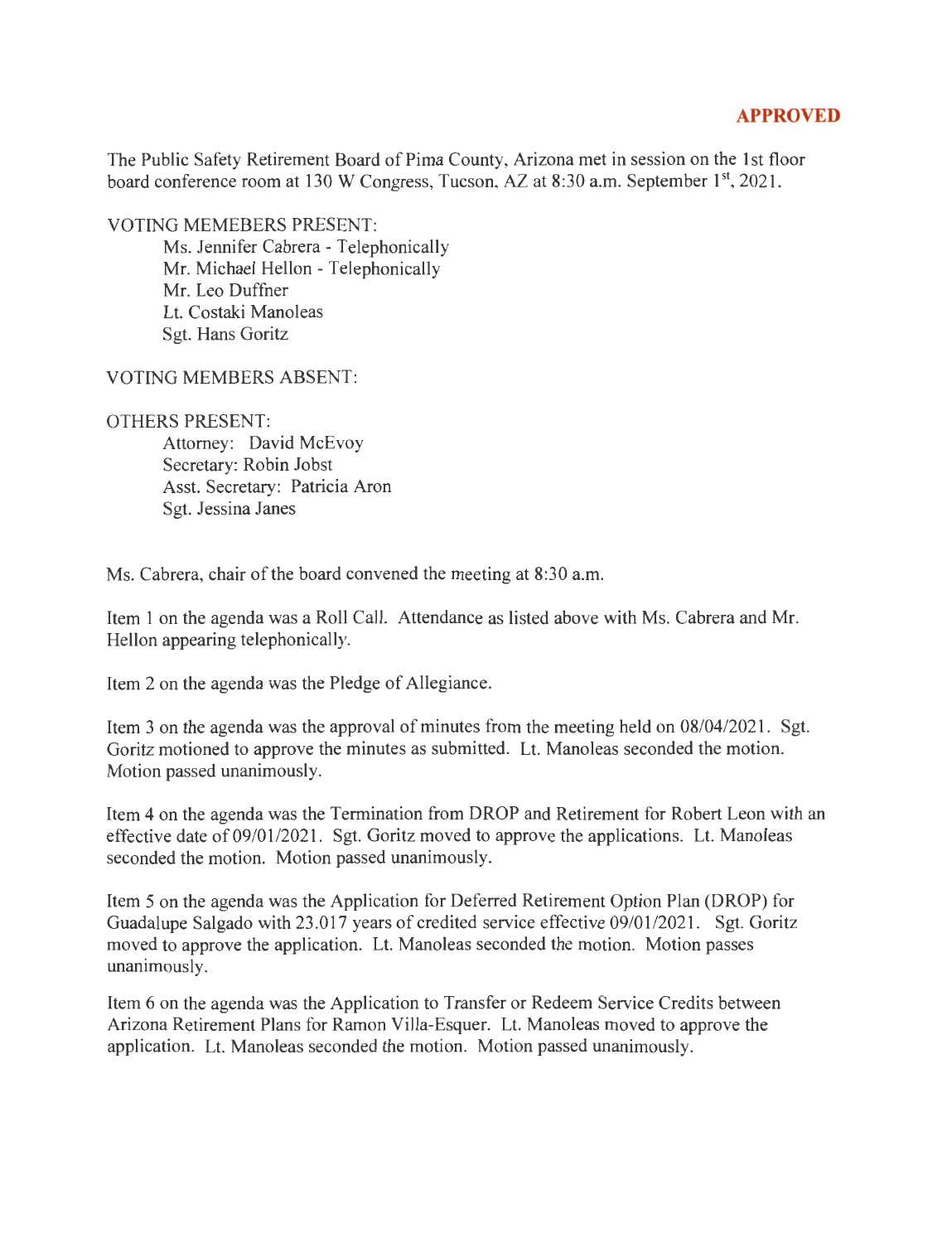## **APPROVED**

The Public Safety Retirement Board of Pima County, Arizona met in session on the 1st floor board conference room at 130 W Congress, Tucson, AZ at  $8:30$  a.m. September  $1<sup>st</sup>$ , 2021.

VOTING MEMEBERS PRESENT:

Ms. Jennifer Cabrera - Telephonically Mr. Michael Hellon - Telephonically Mr. Leo Duffner Lt. Costaki Manoleas Sgt. Hans Goritz

VOTING MEMBERS ABSENT:

## OTHERS PRESENT:

Attorney: David McEvoy Secretary: Robin Jobst Asst. Secretary: Patricia Aron Sgt. Jessina Janes

Ms. Cabrera, chair of the board convened the meeting at 8:30 a.m.

Item 1 on the agenda was a Roll Call. Attendance as listed above with Ms. Cabrera and Mr. Hellon appearing telephonically.

Item 2 on the agenda was the Pledge of Allegiance.

Item 3 on the agenda was the approval of minutes from the meeting held on 08/04/2021. Sgt. Goritz motioned to approve the minutes as submitted. Lt. Manoleas seconded the motion. Motion passed unanimously.

Item 4 on the agenda was the Termination from DROP and Retirement for Robert Leon with an effective date of 09/01/2021. Sgt. Goritz moved to approve the applications. Lt. Manoleas seconded the motion. Motion passed unanimously.

Item 5 on the agenda was the Application for Deferred Retirement Option Plan (DROP) for Guadalupe Salgado with 23.017 years of credited service effective 09/01/2021. Sgt. Goritz moved to approve the application. Lt. Manoleas seconded the motion. Motion passes unanimously.

Item 6 on the agenda was the Application to Transfer or Redeem Service Credits between Arizona Retirement Plans for Ramon Villa-Esquer. Lt. Manoleas moved to approve the application. Lt. Manoleas seconded the motion. Motion passed unanimously.